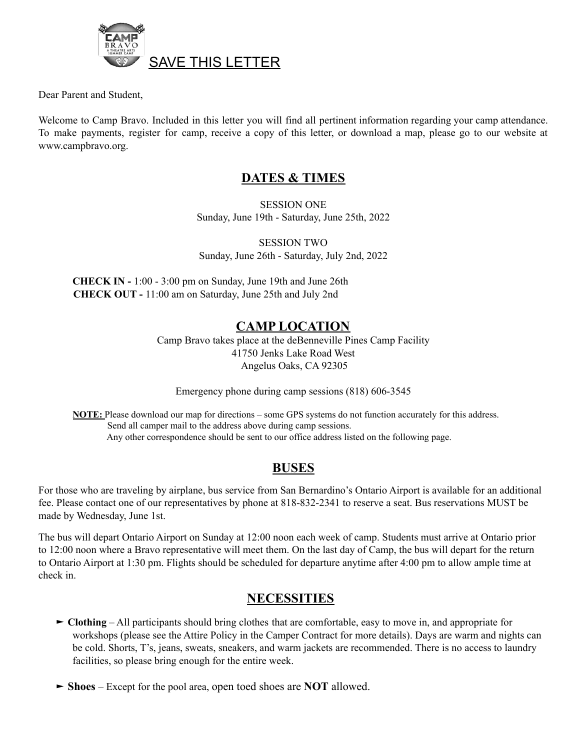

Dear Parent and Student,

Welcome to Camp Bravo. Included in this letter you will find all pertinent information regarding your camp attendance. To make payments, register for camp, receive a copy of this letter, or download a map, please go to our website at www.campbravo.org.

#### **DATES & TIMES**

SESSION ONE Sunday, June 19th - Saturday, June 25th, 2022

SESSION TWO Sunday, June 26th - Saturday, July 2nd, 2022

**CHECK IN -** 1:00 - 3:00 pm on Sunday, June 19th and June 26th **CHECK OUT -** 11:00 am on Saturday, June 25th and July 2nd

#### **CAMP LOCATION**

Camp Bravo takes place at the deBenneville Pines Camp Facility 41750 Jenks Lake Road West Angelus Oaks, CA 92305

Emergency phone during camp sessions (818) 606-3545

**NOTE:** Please download our map for directions – some GPS systems do not function accurately for this address. Send all camper mail to the address above during camp sessions. Any other correspondence should be sent to our office address listed on the following page.

## **BUSES**

For those who are traveling by airplane, bus service from San Bernardino's Ontario Airport is available for an additional fee. Please contact one of our representatives by phone at 818-832-2341 to reserve a seat. Bus reservations MUST be made by Wednesday, June 1st.

The bus will depart Ontario Airport on Sunday at 12:00 noon each week of camp. Students must arrive at Ontario prior to 12:00 noon where a Bravo representative will meet them. On the last day of Camp, the bus will depart for the return to Ontario Airport at 1:30 pm. Flights should be scheduled for departure anytime after 4:00 pm to allow ample time at check in.

## **NECESSITIES**

- ► **Clothing** All participants should bring clothes that are comfortable, easy to move in, and appropriate for workshops (please see the Attire Policy in the Camper Contract for more details). Days are warm and nights can be cold. Shorts, T's, jeans, sweats, sneakers, and warm jackets are recommended. There is no access to laundry facilities, so please bring enough for the entire week.
- ► **Shoes** Except for the pool area, open toed shoes are **NOT** allowed.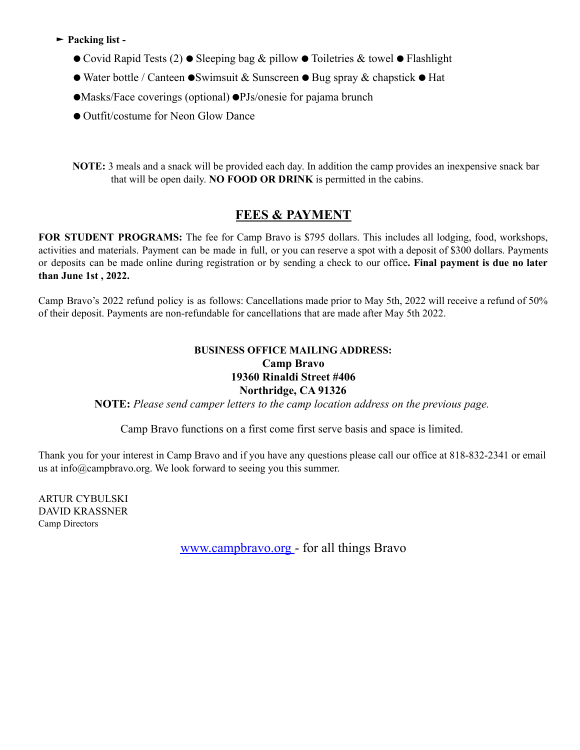- ► **Packing list -**
	- ⚫ Covid Rapid Tests (2) ⚫ Sleeping bag & pillow ⚫ Toiletries & towel ⚫ Flashlight
	- ⚫ Water bottle / Canteen ⚫Swimsuit & Sunscreen ⚫ Bug spray & chapstick ⚫ Hat
	- ⚫Masks/Face coverings (optional) ⚫PJs/onesie for pajama brunch
	- ⚫ Outfit/costume for Neon Glow Dance

**NOTE:** 3 meals and a snack will be provided each day. In addition the camp provides an inexpensive snack bar that will be open daily. **NO FOOD OR DRINK** is permitted in the cabins.

# **FEES & PAYMENT**

**FOR STUDENT PROGRAMS:** The fee for Camp Bravo is \$795 dollars. This includes all lodging, food, workshops, activities and materials. Payment can be made in full, or you can reserve a spot with a deposit of \$300 dollars. Payments or deposits can be made online during registration or by sending a check to our office**. Final payment is due no later than June 1st , 2022.**

Camp Bravo's 2022 refund policy is as follows: Cancellations made prior to May 5th, 2022 will receive a refund of 50% of their deposit. Payments are non-refundable for cancellations that are made after May 5th 2022.

#### **BUSINESS OFFICE MAILING ADDRESS: Camp Bravo 19360 Rinaldi Street #406 Northridge, CA 91326**

**NOTE:** *Please send camper letters to the camp location address on the previous page.*

Camp Bravo functions on a first come first serve basis and space is limited.

Thank you for your interest in Camp Bravo and if you have any questions please call our office at 818-832-2341 or email us at info@campbravo.org. We look forward to seeing you this summer.

ARTUR CYBULSKI DAVID KRASSNER Camp Directors

www.campbravo.org - for all things Bravo